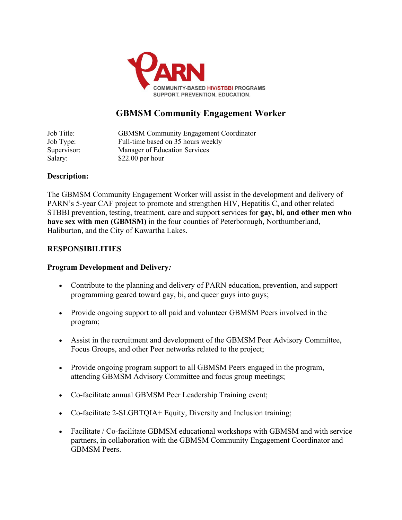

# **GBMSM Community Engagement Worker**

Job Title: GBMSM Community Engagement Coordinator Job Type: Full-time based on 35 hours weekly Supervisor: Manager of Education Services Salary: \$22.00 per hour

# **Description:**

The GBMSM Community Engagement Worker will assist in the development and delivery of PARN's 5-year CAF project to promote and strengthen HIV, Hepatitis C, and other related STBBI prevention, testing, treatment, care and support services for **gay, bi, and other men who have sex with men (GBMSM)** in the four counties of Peterborough, Northumberland, Haliburton, and the City of Kawartha Lakes.

# **RESPONSIBILITIES**

#### **Program Development and Delivery***:*

- Contribute to the planning and delivery of PARN education, prevention, and support programming geared toward gay, bi, and queer guys into guys;
- Provide ongoing support to all paid and volunteer GBMSM Peers involved in the program;
- Assist in the recruitment and development of the GBMSM Peer Advisory Committee, Focus Groups, and other Peer networks related to the project;
- Provide ongoing program support to all GBMSM Peers engaged in the program, attending GBMSM Advisory Committee and focus group meetings;
- Co-facilitate annual GBMSM Peer Leadership Training event;
- Co-facilitate 2-SLGBTQIA+ Equity, Diversity and Inclusion training;
- Facilitate / Co-facilitate GBMSM educational workshops with GBMSM and with service partners, in collaboration with the GBMSM Community Engagement Coordinator and GBMSM Peers.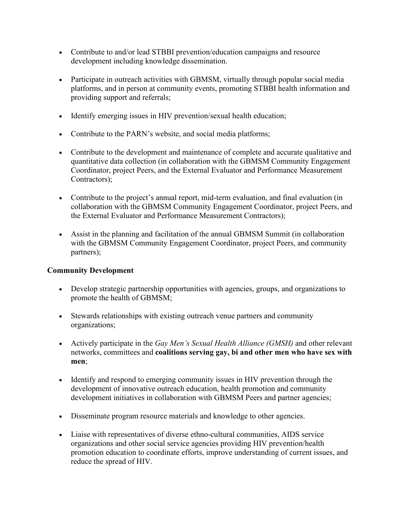- Contribute to and/or lead STBBI prevention/education campaigns and resource development including knowledge dissemination.
- Participate in outreach activities with GBMSM, virtually through popular social media platforms, and in person at community events, promoting STBBI health information and providing support and referrals;
- Identify emerging issues in HIV prevention/sexual health education;
- Contribute to the PARN's website, and social media platforms;
- Contribute to the development and maintenance of complete and accurate qualitative and quantitative data collection (in collaboration with the GBMSM Community Engagement Coordinator, project Peers, and the External Evaluator and Performance Measurement Contractors);
- Contribute to the project's annual report, mid-term evaluation, and final evaluation (in collaboration with the GBMSM Community Engagement Coordinator, project Peers, and the External Evaluator and Performance Measurement Contractors);
- Assist in the planning and facilitation of the annual GBMSM Summit (in collaboration with the GBMSM Community Engagement Coordinator, project Peers, and community partners);

# **Community Development**

- Develop strategic partnership opportunities with agencies, groups, and organizations to promote the health of GBMSM;
- Stewards relationships with existing outreach venue partners and community organizations;
- Actively participate in the *Gay Men's Sexual Health Alliance (GMSH)* and other relevant networks, committees and **coalitions serving gay, bi and other men who have sex with men**;
- Identify and respond to emerging community issues in HIV prevention through the development of innovative outreach education, health promotion and community development initiatives in collaboration with GBMSM Peers and partner agencies;
- Disseminate program resource materials and knowledge to other agencies.
- Liaise with representatives of diverse ethno-cultural communities, AIDS service organizations and other social service agencies providing HIV prevention/health promotion education to coordinate efforts, improve understanding of current issues, and reduce the spread of HIV.